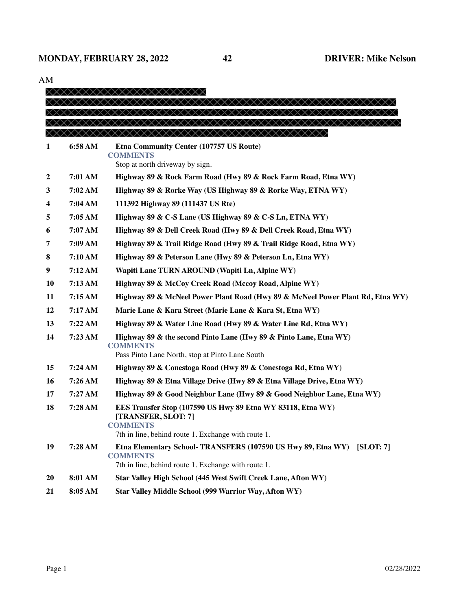| AIVI             |         |                                                                                                                                                              |
|------------------|---------|--------------------------------------------------------------------------------------------------------------------------------------------------------------|
|                  |         |                                                                                                                                                              |
|                  |         | xxxxxxxxxxxxxxxxxxxxx                                                                                                                                        |
|                  |         |                                                                                                                                                              |
|                  |         | XXXXXXXXXXXXXXXXXXXXXXXXXXXXXXXXXXXXX                                                                                                                        |
| 1                | 6:58 AM | Etna Community Center (107757 US Route)<br><b>COMMENTS</b><br>Stop at north driveway by sign.                                                                |
| $\boldsymbol{2}$ | 7:01 AM | Highway 89 & Rock Farm Road (Hwy 89 & Rock Farm Road, Etna WY)                                                                                               |
| 3                | 7:02 AM | Highway 89 & Rorke Way (US Highway 89 & Rorke Way, ETNA WY)                                                                                                  |
| 4                | 7:04 AM | 111392 Highway 89 (111437 US Rte)                                                                                                                            |
| 5                | 7:05 AM | Highway 89 & C-S Lane (US Highway 89 & C-S Ln, ETNA WY)                                                                                                      |
|                  | 7:07 AM | Highway 89 & Dell Creek Road (Hwy 89 & Dell Creek Road, Etna WY)                                                                                             |
| 6                |         |                                                                                                                                                              |
| 7                | 7:09 AM | Highway 89 & Trail Ridge Road (Hwy 89 & Trail Ridge Road, Etna WY)                                                                                           |
| 8                | 7:10 AM | Highway 89 & Peterson Lane (Hwy 89 & Peterson Ln, Etna WY)                                                                                                   |
| 9                | 7:12AM  | Wapiti Lane TURN AROUND (Wapiti Ln, Alpine WY)                                                                                                               |
| <b>10</b>        | 7:13 AM | Highway 89 & McCoy Creek Road (Mccoy Road, Alpine WY)                                                                                                        |
| 11               | 7:15AM  | Highway 89 & McNeel Power Plant Road (Hwy 89 & McNeel Power Plant Rd, Etna WY)                                                                               |
| 12               | 7:17 AM | Marie Lane & Kara Street (Marie Lane & Kara St, Etna WY)                                                                                                     |
| 13               | 7:22AM  | Highway 89 & Water Line Road (Hwy 89 & Water Line Rd, Etna WY)                                                                                               |
| 14               | 7:23 AM | Highway 89 & the second Pinto Lane (Hwy 89 & Pinto Lane, Etna WY)<br><b>COMMENTS</b><br>Pass Pinto Lane North, stop at Pinto Lane South                      |
| 15               | 7:24AM  |                                                                                                                                                              |
|                  |         | Highway 89 & Conestoga Road (Hwy 89 & Conestoga Rd, Etna WY)                                                                                                 |
| 16               | 7:26 AM | Highway 89 & Etna Village Drive (Hwy 89 & Etna Village Drive, Etna WY)                                                                                       |
| 17               | 7:27 AM | Highway 89 & Good Neighbor Lane (Hwy 89 & Good Neighbor Lane, Etna WY)                                                                                       |
| 18               | 7:28 AM | EES Transfer Stop (107590 US Hwy 89 Etna WY 83118, Etna WY)<br>[TRANSFER, SLOT: 7]<br><b>COMMENTS</b><br>7th in line, behind route 1. Exchange with route 1. |
| 19               | 7:28 AM | Etna Elementary School-TRANSFERS (107590 US Hwy 89, Etna WY)<br>[SLOT: 7]<br><b>COMMENTS</b><br>7th in line, behind route 1. Exchange with route 1.          |
| <b>20</b>        | 8:01 AM | Star Valley High School (445 West Swift Creek Lane, Afton WY)                                                                                                |
| 21               | 8:05 AM | Star Valley Middle School (999 Warrior Way, Afton WY)                                                                                                        |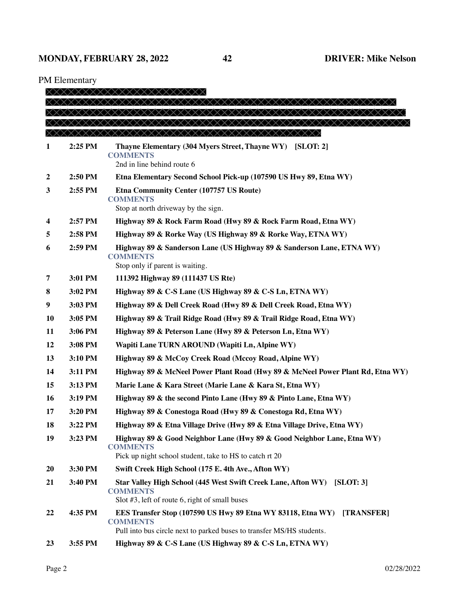PM Elementary

| x x x x x x x x x x x x x x x x<br>x x x x x x x x x x x x x x x x<br>XXXXXXXXXXXXXXXXXXXXXXXXXXXXXXXXXXXX<br>$2:25$ PM<br>Thayne Elementary (304 Myers Street, Thayne WY) [SLOT: 2]<br>1<br><b>COMMENTS</b><br>2nd in line behind route 6<br>2:50 PM<br>Etna Elementary Second School Pick-up (107590 US Hwy 89, Etna WY)<br>2<br>2:55 PM<br>3<br>Etna Community Center (107757 US Route)<br><b>COMMENTS</b><br>Stop at north driveway by the sign.<br>2:57 PM<br>Highway 89 & Rock Farm Road (Hwy 89 & Rock Farm Road, Etna WY)<br>4<br>2:58 PM<br>Highway 89 & Rorke Way (US Highway 89 & Rorke Way, ETNA WY)<br>5<br>2:59 PM<br>Highway 89 & Sanderson Lane (US Highway 89 & Sanderson Lane, ETNA WY)<br>6<br><b>COMMENTS</b><br>Stop only if parent is waiting.<br>3:01 PM<br>111392 Highway 89 (111437 US Rte)<br>7<br>3:02 PM<br>Highway 89 & C-S Lane (US Highway 89 & C-S Ln, ETNA WY)<br>8<br>3:03 PM<br>9<br>Highway 89 & Dell Creek Road (Hwy 89 & Dell Creek Road, Etna WY)<br><b>10</b><br>3:05 PM<br>Highway 89 & Trail Ridge Road (Hwy 89 & Trail Ridge Road, Etna WY)<br>11<br>3:06 PM<br>Highway 89 & Peterson Lane (Hwy 89 & Peterson Ln, Etna WY)<br>12<br>3:08 PM<br>Wapiti Lane TURN AROUND (Wapiti Ln, Alpine WY)<br>13<br>3:10 PM<br>Highway 89 & McCoy Creek Road (Mccoy Road, Alpine WY)<br>14<br>3:11 PM<br>Highway 89 & McNeel Power Plant Road (Hwy 89 & McNeel Power Plant Rd, Etna WY)<br>15<br>3:13 PM<br>Marie Lane & Kara Street (Marie Lane & Kara St, Etna WY)<br>16<br>3:19 PM<br>Highway 89 & the second Pinto Lane (Hwy 89 & Pinto Lane, Etna WY)<br>3:20 PM<br>Highway 89 & Conestoga Road (Hwy 89 & Conestoga Rd, Etna WY)<br>17<br>Highway 89 & Etna Village Drive (Hwy 89 & Etna Village Drive, Etna WY)<br>18<br>3:22 PM<br>19<br>3:23 PM<br>Highway 89 & Good Neighbor Lane (Hwy 89 & Good Neighbor Lane, Etna WY)<br><b>COMMENTS</b><br>Pick up night school student, take to HS to catch rt 20<br>20<br>3:30 PM<br>Swift Creek High School (175 E. 4th Ave., Afton WY)<br>21<br>3:40 PM<br>Star Valley High School (445 West Swift Creek Lane, Afton WY)<br>[SLOT: 3] | XXXXXXXXXXXXXXXXXXXXX |  |                 |  |  |
|----------------------------------------------------------------------------------------------------------------------------------------------------------------------------------------------------------------------------------------------------------------------------------------------------------------------------------------------------------------------------------------------------------------------------------------------------------------------------------------------------------------------------------------------------------------------------------------------------------------------------------------------------------------------------------------------------------------------------------------------------------------------------------------------------------------------------------------------------------------------------------------------------------------------------------------------------------------------------------------------------------------------------------------------------------------------------------------------------------------------------------------------------------------------------------------------------------------------------------------------------------------------------------------------------------------------------------------------------------------------------------------------------------------------------------------------------------------------------------------------------------------------------------------------------------------------------------------------------------------------------------------------------------------------------------------------------------------------------------------------------------------------------------------------------------------------------------------------------------------------------------------------------------------------------------------------------------------------------------------------------------------------------------------------------------------------------------------------------------------------|-----------------------|--|-----------------|--|--|
|                                                                                                                                                                                                                                                                                                                                                                                                                                                                                                                                                                                                                                                                                                                                                                                                                                                                                                                                                                                                                                                                                                                                                                                                                                                                                                                                                                                                                                                                                                                                                                                                                                                                                                                                                                                                                                                                                                                                                                                                                                                                                                                      |                       |  |                 |  |  |
|                                                                                                                                                                                                                                                                                                                                                                                                                                                                                                                                                                                                                                                                                                                                                                                                                                                                                                                                                                                                                                                                                                                                                                                                                                                                                                                                                                                                                                                                                                                                                                                                                                                                                                                                                                                                                                                                                                                                                                                                                                                                                                                      |                       |  |                 |  |  |
|                                                                                                                                                                                                                                                                                                                                                                                                                                                                                                                                                                                                                                                                                                                                                                                                                                                                                                                                                                                                                                                                                                                                                                                                                                                                                                                                                                                                                                                                                                                                                                                                                                                                                                                                                                                                                                                                                                                                                                                                                                                                                                                      |                       |  |                 |  |  |
|                                                                                                                                                                                                                                                                                                                                                                                                                                                                                                                                                                                                                                                                                                                                                                                                                                                                                                                                                                                                                                                                                                                                                                                                                                                                                                                                                                                                                                                                                                                                                                                                                                                                                                                                                                                                                                                                                                                                                                                                                                                                                                                      |                       |  |                 |  |  |
|                                                                                                                                                                                                                                                                                                                                                                                                                                                                                                                                                                                                                                                                                                                                                                                                                                                                                                                                                                                                                                                                                                                                                                                                                                                                                                                                                                                                                                                                                                                                                                                                                                                                                                                                                                                                                                                                                                                                                                                                                                                                                                                      |                       |  |                 |  |  |
|                                                                                                                                                                                                                                                                                                                                                                                                                                                                                                                                                                                                                                                                                                                                                                                                                                                                                                                                                                                                                                                                                                                                                                                                                                                                                                                                                                                                                                                                                                                                                                                                                                                                                                                                                                                                                                                                                                                                                                                                                                                                                                                      |                       |  |                 |  |  |
|                                                                                                                                                                                                                                                                                                                                                                                                                                                                                                                                                                                                                                                                                                                                                                                                                                                                                                                                                                                                                                                                                                                                                                                                                                                                                                                                                                                                                                                                                                                                                                                                                                                                                                                                                                                                                                                                                                                                                                                                                                                                                                                      |                       |  |                 |  |  |
|                                                                                                                                                                                                                                                                                                                                                                                                                                                                                                                                                                                                                                                                                                                                                                                                                                                                                                                                                                                                                                                                                                                                                                                                                                                                                                                                                                                                                                                                                                                                                                                                                                                                                                                                                                                                                                                                                                                                                                                                                                                                                                                      |                       |  |                 |  |  |
|                                                                                                                                                                                                                                                                                                                                                                                                                                                                                                                                                                                                                                                                                                                                                                                                                                                                                                                                                                                                                                                                                                                                                                                                                                                                                                                                                                                                                                                                                                                                                                                                                                                                                                                                                                                                                                                                                                                                                                                                                                                                                                                      |                       |  |                 |  |  |
|                                                                                                                                                                                                                                                                                                                                                                                                                                                                                                                                                                                                                                                                                                                                                                                                                                                                                                                                                                                                                                                                                                                                                                                                                                                                                                                                                                                                                                                                                                                                                                                                                                                                                                                                                                                                                                                                                                                                                                                                                                                                                                                      |                       |  |                 |  |  |
|                                                                                                                                                                                                                                                                                                                                                                                                                                                                                                                                                                                                                                                                                                                                                                                                                                                                                                                                                                                                                                                                                                                                                                                                                                                                                                                                                                                                                                                                                                                                                                                                                                                                                                                                                                                                                                                                                                                                                                                                                                                                                                                      |                       |  |                 |  |  |
|                                                                                                                                                                                                                                                                                                                                                                                                                                                                                                                                                                                                                                                                                                                                                                                                                                                                                                                                                                                                                                                                                                                                                                                                                                                                                                                                                                                                                                                                                                                                                                                                                                                                                                                                                                                                                                                                                                                                                                                                                                                                                                                      |                       |  |                 |  |  |
|                                                                                                                                                                                                                                                                                                                                                                                                                                                                                                                                                                                                                                                                                                                                                                                                                                                                                                                                                                                                                                                                                                                                                                                                                                                                                                                                                                                                                                                                                                                                                                                                                                                                                                                                                                                                                                                                                                                                                                                                                                                                                                                      |                       |  |                 |  |  |
|                                                                                                                                                                                                                                                                                                                                                                                                                                                                                                                                                                                                                                                                                                                                                                                                                                                                                                                                                                                                                                                                                                                                                                                                                                                                                                                                                                                                                                                                                                                                                                                                                                                                                                                                                                                                                                                                                                                                                                                                                                                                                                                      |                       |  |                 |  |  |
|                                                                                                                                                                                                                                                                                                                                                                                                                                                                                                                                                                                                                                                                                                                                                                                                                                                                                                                                                                                                                                                                                                                                                                                                                                                                                                                                                                                                                                                                                                                                                                                                                                                                                                                                                                                                                                                                                                                                                                                                                                                                                                                      |                       |  |                 |  |  |
|                                                                                                                                                                                                                                                                                                                                                                                                                                                                                                                                                                                                                                                                                                                                                                                                                                                                                                                                                                                                                                                                                                                                                                                                                                                                                                                                                                                                                                                                                                                                                                                                                                                                                                                                                                                                                                                                                                                                                                                                                                                                                                                      |                       |  |                 |  |  |
|                                                                                                                                                                                                                                                                                                                                                                                                                                                                                                                                                                                                                                                                                                                                                                                                                                                                                                                                                                                                                                                                                                                                                                                                                                                                                                                                                                                                                                                                                                                                                                                                                                                                                                                                                                                                                                                                                                                                                                                                                                                                                                                      |                       |  |                 |  |  |
|                                                                                                                                                                                                                                                                                                                                                                                                                                                                                                                                                                                                                                                                                                                                                                                                                                                                                                                                                                                                                                                                                                                                                                                                                                                                                                                                                                                                                                                                                                                                                                                                                                                                                                                                                                                                                                                                                                                                                                                                                                                                                                                      |                       |  |                 |  |  |
|                                                                                                                                                                                                                                                                                                                                                                                                                                                                                                                                                                                                                                                                                                                                                                                                                                                                                                                                                                                                                                                                                                                                                                                                                                                                                                                                                                                                                                                                                                                                                                                                                                                                                                                                                                                                                                                                                                                                                                                                                                                                                                                      |                       |  |                 |  |  |
|                                                                                                                                                                                                                                                                                                                                                                                                                                                                                                                                                                                                                                                                                                                                                                                                                                                                                                                                                                                                                                                                                                                                                                                                                                                                                                                                                                                                                                                                                                                                                                                                                                                                                                                                                                                                                                                                                                                                                                                                                                                                                                                      |                       |  |                 |  |  |
|                                                                                                                                                                                                                                                                                                                                                                                                                                                                                                                                                                                                                                                                                                                                                                                                                                                                                                                                                                                                                                                                                                                                                                                                                                                                                                                                                                                                                                                                                                                                                                                                                                                                                                                                                                                                                                                                                                                                                                                                                                                                                                                      |                       |  |                 |  |  |
|                                                                                                                                                                                                                                                                                                                                                                                                                                                                                                                                                                                                                                                                                                                                                                                                                                                                                                                                                                                                                                                                                                                                                                                                                                                                                                                                                                                                                                                                                                                                                                                                                                                                                                                                                                                                                                                                                                                                                                                                                                                                                                                      |                       |  |                 |  |  |
|                                                                                                                                                                                                                                                                                                                                                                                                                                                                                                                                                                                                                                                                                                                                                                                                                                                                                                                                                                                                                                                                                                                                                                                                                                                                                                                                                                                                                                                                                                                                                                                                                                                                                                                                                                                                                                                                                                                                                                                                                                                                                                                      |                       |  |                 |  |  |
|                                                                                                                                                                                                                                                                                                                                                                                                                                                                                                                                                                                                                                                                                                                                                                                                                                                                                                                                                                                                                                                                                                                                                                                                                                                                                                                                                                                                                                                                                                                                                                                                                                                                                                                                                                                                                                                                                                                                                                                                                                                                                                                      |                       |  |                 |  |  |
|                                                                                                                                                                                                                                                                                                                                                                                                                                                                                                                                                                                                                                                                                                                                                                                                                                                                                                                                                                                                                                                                                                                                                                                                                                                                                                                                                                                                                                                                                                                                                                                                                                                                                                                                                                                                                                                                                                                                                                                                                                                                                                                      |                       |  |                 |  |  |
|                                                                                                                                                                                                                                                                                                                                                                                                                                                                                                                                                                                                                                                                                                                                                                                                                                                                                                                                                                                                                                                                                                                                                                                                                                                                                                                                                                                                                                                                                                                                                                                                                                                                                                                                                                                                                                                                                                                                                                                                                                                                                                                      |                       |  |                 |  |  |
|                                                                                                                                                                                                                                                                                                                                                                                                                                                                                                                                                                                                                                                                                                                                                                                                                                                                                                                                                                                                                                                                                                                                                                                                                                                                                                                                                                                                                                                                                                                                                                                                                                                                                                                                                                                                                                                                                                                                                                                                                                                                                                                      |                       |  |                 |  |  |
|                                                                                                                                                                                                                                                                                                                                                                                                                                                                                                                                                                                                                                                                                                                                                                                                                                                                                                                                                                                                                                                                                                                                                                                                                                                                                                                                                                                                                                                                                                                                                                                                                                                                                                                                                                                                                                                                                                                                                                                                                                                                                                                      |                       |  |                 |  |  |
|                                                                                                                                                                                                                                                                                                                                                                                                                                                                                                                                                                                                                                                                                                                                                                                                                                                                                                                                                                                                                                                                                                                                                                                                                                                                                                                                                                                                                                                                                                                                                                                                                                                                                                                                                                                                                                                                                                                                                                                                                                                                                                                      |                       |  |                 |  |  |
| Slot $#3$ , left of route 6, right of small buses                                                                                                                                                                                                                                                                                                                                                                                                                                                                                                                                                                                                                                                                                                                                                                                                                                                                                                                                                                                                                                                                                                                                                                                                                                                                                                                                                                                                                                                                                                                                                                                                                                                                                                                                                                                                                                                                                                                                                                                                                                                                    |                       |  | <b>COMMENTS</b> |  |  |
| 22<br>4:35 PM<br>EES Transfer Stop (107590 US Hwy 89 Etna WY 83118, Etna WY) [TRANSFER]                                                                                                                                                                                                                                                                                                                                                                                                                                                                                                                                                                                                                                                                                                                                                                                                                                                                                                                                                                                                                                                                                                                                                                                                                                                                                                                                                                                                                                                                                                                                                                                                                                                                                                                                                                                                                                                                                                                                                                                                                              |                       |  |                 |  |  |
| <b>COMMENTS</b><br>Pull into bus circle next to parked buses to transfer MS/HS students.                                                                                                                                                                                                                                                                                                                                                                                                                                                                                                                                                                                                                                                                                                                                                                                                                                                                                                                                                                                                                                                                                                                                                                                                                                                                                                                                                                                                                                                                                                                                                                                                                                                                                                                                                                                                                                                                                                                                                                                                                             |                       |  |                 |  |  |
| 23<br>3:55 PM<br>Highway 89 & C-S Lane (US Highway 89 & C-S Ln, ETNA WY)                                                                                                                                                                                                                                                                                                                                                                                                                                                                                                                                                                                                                                                                                                                                                                                                                                                                                                                                                                                                                                                                                                                                                                                                                                                                                                                                                                                                                                                                                                                                                                                                                                                                                                                                                                                                                                                                                                                                                                                                                                             |                       |  |                 |  |  |